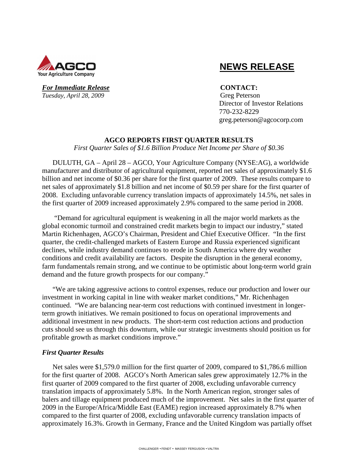

### For Immediate Release **CONTACT**: *Tuesday, April 28, 2009* Greg Peterson

# **NEWS RELEASE**

 Director of Investor Relations 770-232-8229 greg.peterson@agcocorp.com

# **AGCO REPORTS FIRST QUARTER RESULTS**

*First Quarter Sales of \$1.6 Billion Produce Net Income per Share of \$0.36* 

DULUTH, GA – April 28 – AGCO, Your Agriculture Company (NYSE:AG), a worldwide manufacturer and distributor of agricultural equipment, reported net sales of approximately \$1.6 billion and net income of \$0.36 per share for the first quarter of 2009. These results compare to net sales of approximately \$1.8 billion and net income of \$0.59 per share for the first quarter of 2008. Excluding unfavorable currency translation impacts of approximately 14.5%, net sales in the first quarter of 2009 increased approximately 2.9% compared to the same period in 2008.

 "Demand for agricultural equipment is weakening in all the major world markets as the global economic turmoil and constrained credit markets begin to impact our industry," stated Martin Richenhagen, AGCO's Chairman, President and Chief Executive Officer. "In the first quarter, the credit-challenged markets of Eastern Europe and Russia experienced significant declines, while industry demand continues to erode in South America where dry weather conditions and credit availability are factors. Despite the disruption in the general economy, farm fundamentals remain strong, and we continue to be optimistic about long-term world grain demand and the future growth prospects for our company."

"We are taking aggressive actions to control expenses, reduce our production and lower our investment in working capital in line with weaker market conditions," Mr. Richenhagen continued. "We are balancing near-term cost reductions with continued investment in longerterm growth initiatives. We remain positioned to focus on operational improvements and additional investment in new products. The short-term cost reduction actions and production cuts should see us through this downturn, while our strategic investments should position us for profitable growth as market conditions improve."

# *First Quarter Results*

Net sales were \$1,579.0 million for the first quarter of 2009, compared to \$1,786.6 million for the first quarter of 2008. AGCO's North American sales grew approximately 12.7% in the first quarter of 2009 compared to the first quarter of 2008, excluding unfavorable currency translation impacts of approximately 5.8%. In the North American region, stronger sales of balers and tillage equipment produced much of the improvement. Net sales in the first quarter of 2009 in the Europe/Africa/Middle East (EAME) region increased approximately 8.7% when compared to the first quarter of 2008, excluding unfavorable currency translation impacts of approximately 16.3%. Growth in Germany, France and the United Kingdom was partially offset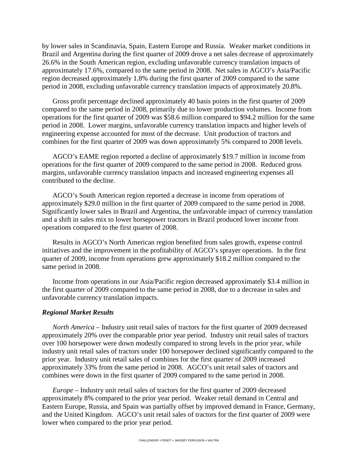by lower sales in Scandinavia, Spain, Eastern Europe and Russia. Weaker market conditions in Brazil and Argentina during the first quarter of 2009 drove a net sales decrease of approximately 26.6% in the South American region, excluding unfavorable currency translation impacts of approximately 17.6%, compared to the same period in 2008. Net sales in AGCO's Asia/Pacific region decreased approximately 1.8% during the first quarter of 2009 compared to the same period in 2008, excluding unfavorable currency translation impacts of approximately 20.8%.

Gross profit percentage declined approximately 40 basis points in the first quarter of 2009 compared to the same period in 2008, primarily due to lower production volumes. Income from operations for the first quarter of 2009 was \$58.6 million compared to \$94.2 million for the same period in 2008. Lower margins, unfavorable currency translation impacts and higher levels of engineering expense accounted for most of the decrease. Unit production of tractors and combines for the first quarter of 2009 was down approximately 5% compared to 2008 levels.

AGCO's EAME region reported a decline of approximately \$19.7 million in income from operations for the first quarter of 2009 compared to the same period in 2008. Reduced gross margins, unfavorable currency translation impacts and increased engineering expenses all contributed to the decline.

AGCO's South American region reported a decrease in income from operations of approximately \$29.0 million in the first quarter of 2009 compared to the same period in 2008. Significantly lower sales in Brazil and Argentina, the unfavorable impact of currency translation and a shift in sales mix to lower horsepower tractors in Brazil produced lower income from operations compared to the first quarter of 2008.

Results in AGCO's North American region benefited from sales growth, expense control initiatives and the improvement in the profitability of AGCO's sprayer operations. In the first quarter of 2009, income from operations grew approximately \$18.2 million compared to the same period in 2008.

Income from operations in our Asia/Pacific region decreased approximately \$3.4 million in the first quarter of 2009 compared to the same period in 2008, due to a decrease in sales and unfavorable currency translation impacts.

#### *Regional Market Results*

*North America* – Industry unit retail sales of tractors for the first quarter of 2009 decreased approximately 20% over the comparable prior year period. Industry unit retail sales of tractors over 100 horsepower were down modestly compared to strong levels in the prior year, while industry unit retail sales of tractors under 100 horsepower declined significantly compared to the prior year. Industry unit retail sales of combines for the first quarter of 2009 increased approximately 33% from the same period in 2008. AGCO's unit retail sales of tractors and combines were down in the first quarter of 2009 compared to the same period in 2008.

*Europe –* Industry unit retail sales of tractors for the first quarter of 2009 decreased approximately 8% compared to the prior year period. Weaker retail demand in Central and Eastern Europe, Russia, and Spain was partially offset by improved demand in France, Germany, and the United Kingdom. AGCO's unit retail sales of tractors for the first quarter of 2009 were lower when compared to the prior year period.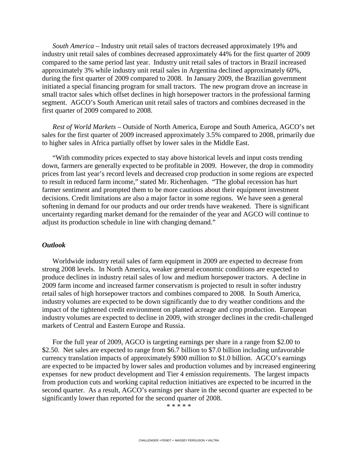*South America –* Industry unit retail sales of tractors decreased approximately 19% and industry unit retail sales of combines decreased approximately 44% for the first quarter of 2009 compared to the same period last year. Industry unit retail sales of tractors in Brazil increased approximately 3% while industry unit retail sales in Argentina declined approximately 60%, during the first quarter of 2009 compared to 2008. In January 2009, the Brazilian government initiated a special financing program for small tractors. The new program drove an increase in small tractor sales which offset declines in high horsepower tractors in the professional farming segment. AGCO's South American unit retail sales of tractors and combines decreased in the first quarter of 2009 compared to 2008.

*Rest of World Markets –* Outside of North America, Europe and South America, AGCO's net sales for the first quarter of 2009 increased approximately 3.5% compared to 2008, primarily due to higher sales in Africa partially offset by lower sales in the Middle East.

"With commodity prices expected to stay above historical levels and input costs trending down, farmers are generally expected to be profitable in 2009. However, the drop in commodity prices from last year's record levels and decreased crop production in some regions are expected to result in reduced farm income," stated Mr. Richenhagen. "The global recession has hurt farmer sentiment and prompted them to be more cautious about their equipment investment decisions. Credit limitations are also a major factor in some regions. We have seen a general softening in demand for our products and our order trends have weakened. There is significant uncertainty regarding market demand for the remainder of the year and AGCO will continue to adjust its production schedule in line with changing demand."

### *Outlook*

Worldwide industry retail sales of farm equipment in 2009 are expected to decrease from strong 2008 levels. In North America, weaker general economic conditions are expected to produce declines in industry retail sales of low and medium horsepower tractors. A decline in 2009 farm income and increased farmer conservatism is projected to result in softer industry retail sales of high horsepower tractors and combines compared to 2008. In South America, industry volumes are expected to be down significantly due to dry weather conditions and the impact of the tightened credit environment on planted acreage and crop production. European industry volumes are expected to decline in 2009, with stronger declines in the credit-challenged markets of Central and Eastern Europe and Russia.

For the full year of 2009, AGCO is targeting earnings per share in a range from \$2.00 to \$2.50. Net sales are expected to range from \$6.7 billion to \$7.0 billion including unfavorable currency translation impacts of approximately \$900 million to \$1.0 billion. AGCO's earnings are expected to be impacted by lower sales and production volumes and by increased engineering expenses for new product development and Tier 4 emission requirements. The largest impacts from production cuts and working capital reduction initiatives are expected to be incurred in the second quarter. As a result, AGCO's earnings per share in the second quarter are expected to be significantly lower than reported for the second quarter of 2008.

\* \* \* \* \*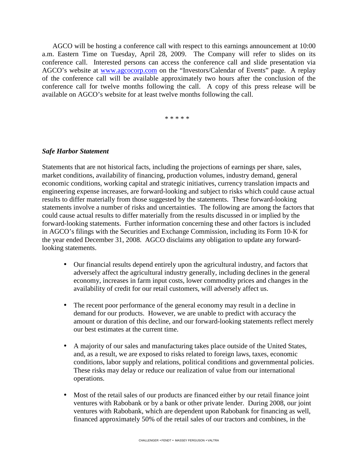AGCO will be hosting a conference call with respect to this earnings announcement at 10:00 a.m. Eastern Time on Tuesday, April 28, 2009. The Company will refer to slides on its conference call. Interested persons can access the conference call and slide presentation via AGCO's website at www.agcocorp.com on the "Investors/Calendar of Events" page. A replay of the conference call will be available approximately two hours after the conclusion of the conference call for twelve months following the call. A copy of this press release will be available on AGCO's website for at least twelve months following the call.

\* \* \* \* \*

### *Safe Harbor Statement*

Statements that are not historical facts, including the projections of earnings per share, sales, market conditions, availability of financing, production volumes, industry demand, general economic conditions, working capital and strategic initiatives, currency translation impacts and engineering expense increases, are forward-looking and subject to risks which could cause actual results to differ materially from those suggested by the statements. These forward-looking statements involve a number of risks and uncertainties. The following are among the factors that could cause actual results to differ materially from the results discussed in or implied by the forward-looking statements. Further information concerning these and other factors is included in AGCO's filings with the Securities and Exchange Commission, including its Form 10-K for the year ended December 31, 2008. AGCO disclaims any obligation to update any forwardlooking statements.

- Our financial results depend entirely upon the agricultural industry, and factors that adversely affect the agricultural industry generally, including declines in the general economy, increases in farm input costs, lower commodity prices and changes in the availability of credit for our retail customers, will adversely affect us.
- The recent poor performance of the general economy may result in a decline in demand for our products. However, we are unable to predict with accuracy the amount or duration of this decline, and our forward-looking statements reflect merely our best estimates at the current time.
- A majority of our sales and manufacturing takes place outside of the United States, and, as a result, we are exposed to risks related to foreign laws, taxes, economic conditions, labor supply and relations, political conditions and governmental policies. These risks may delay or reduce our realization of value from our international operations.
- Most of the retail sales of our products are financed either by our retail finance joint ventures with Rabobank or by a bank or other private lender. During 2008, our joint ventures with Rabobank, which are dependent upon Rabobank for financing as well, financed approximately 50% of the retail sales of our tractors and combines, in the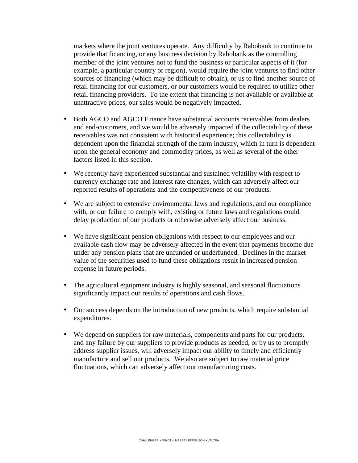markets where the joint ventures operate. Any difficulty by Rabobank to continue to provide that financing, or any business decision by Rabobank as the controlling member of the joint ventures not to fund the business or particular aspects of it (for example, a particular country or region), would require the joint ventures to find other sources of financing (which may be difficult to obtain), or us to find another source of retail financing for our customers, or our customers would be required to utilize other retail financing providers. To the extent that financing is not available or available at unattractive prices, our sales would be negatively impacted.

- Both AGCO and AGCO Finance have substantial accounts receivables from dealers and end-customers, and we would be adversely impacted if the collectability of these receivables was not consistent with historical experience; this collectability is dependent upon the financial strength of the farm industry, which in turn is dependent upon the general economy and commodity prices, as well as several of the other factors listed in this section.
- We recently have experienced substantial and sustained volatility with respect to currency exchange rate and interest rate changes, which can adversely affect our reported results of operations and the competitiveness of our products.
- We are subject to extensive environmental laws and regulations, and our compliance with, or our failure to comply with, existing or future laws and regulations could delay production of our products or otherwise adversely affect our business.
- We have significant pension obligations with respect to our employees and our available cash flow may be adversely affected in the event that payments become due under any pension plans that are unfunded or underfunded. Declines in the market value of the securities used to fund these obligations result in increased pension expense in future periods.
- The agricultural equipment industry is highly seasonal, and seasonal fluctuations significantly impact our results of operations and cash flows.
- Our success depends on the introduction of new products, which require substantial expenditures.
- We depend on suppliers for raw materials, components and parts for our products, and any failure by our suppliers to provide products as needed, or by us to promptly address supplier issues, will adversely impact our ability to timely and efficiently manufacture and sell our products. We also are subject to raw material price fluctuations, which can adversely affect our manufacturing costs.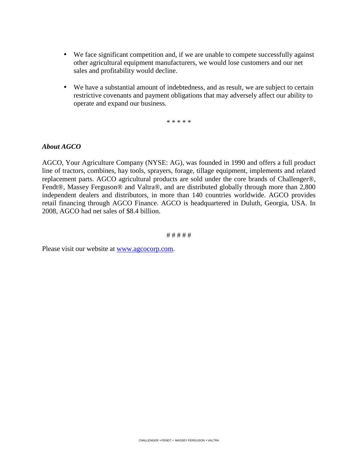- We face significant competition and, if we are unable to compete successfully against other agricultural equipment manufacturers, we would lose customers and our net sales and profitability would decline.
- We have a substantial amount of indebtedness, and as result, we are subject to certain restrictive covenants and payment obligations that may adversely affect our ability to operate and expand our business.

\* \* \* \* \*

### *About AGCO*

AGCO, Your Agriculture Company (NYSE: AG), was founded in 1990 and offers a full product line of tractors, combines, hay tools, sprayers, forage, tillage equipment, implements and related replacement parts. AGCO agricultural products are sold under the core brands of Challenger®, Fendt®, Massey Ferguson® and Valtra®, and are distributed globally through more than 2,800 independent dealers and distributors, in more than 140 countries worldwide. AGCO provides retail financing through AGCO Finance. AGCO is headquartered in Duluth, Georgia, USA. In 2008, AGCO had net sales of \$8.4 billion.

# # # # #

Please visit our website at www.agcocorp.com.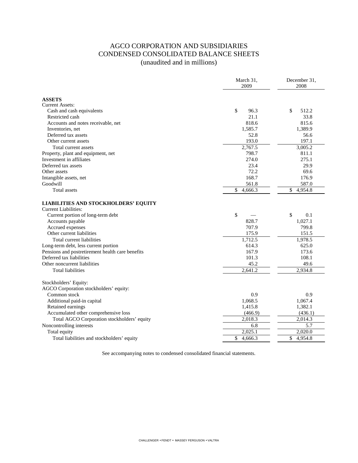# AGCO CORPORATION AND SUBSIDIARIES CONDENSED CONSOLIDATED BALANCE SHEETS (unaudited and in millions)

|                                                                            | March 31,<br>2009 | December 31,<br>2008 |
|----------------------------------------------------------------------------|-------------------|----------------------|
| <b>ASSETS</b>                                                              |                   |                      |
| Current Assets:                                                            |                   |                      |
| Cash and cash equivalents                                                  | \$<br>96.3        | \$<br>512.2          |
| Restricted cash                                                            | 21.1              | 33.8                 |
| Accounts and notes receivable, net                                         | 818.6             | 815.6                |
| Inventories, net                                                           | 1,585.7           | 1,389.9              |
| Deferred tax assets                                                        | 52.8              | 56.6                 |
| Other current assets                                                       | 193.0             | 197.1                |
| Total current assets                                                       | 2,767.5           | 3,005.2              |
| Property, plant and equipment, net                                         | 798.7             | 811.1                |
| Investment in affiliates                                                   | 274.0             | 275.1                |
| Deferred tax assets                                                        | 23.4              | 29.9                 |
| Other assets                                                               | 72.2              | 69.6                 |
| Intangible assets, net                                                     | 168.7             | 176.9                |
| Goodwill                                                                   | 561.8             | 587.0                |
| Total assets                                                               | \$<br>4,666.3     | \$<br>4,954.8        |
| <b>LIABILITIES AND STOCKHOLDERS' EQUITY</b><br><b>Current Liabilities:</b> |                   |                      |
| Current portion of long-term debt                                          | \$                | \$<br>0.1            |
| Accounts payable                                                           | 828.7             | 1,027.1              |
| Accrued expenses                                                           | 707.9             | 799.8                |
| Other current liabilities                                                  | 175.9             | 151.5                |
| Total current liabilities                                                  | 1,712.5           | 1,978.5              |
| Long-term debt, less current portion                                       | 614.3             | 625.0                |
| Pensions and postretirement health care benefits                           | 167.9             | 173.6                |
| Deferred tax liabilities                                                   | 101.3             | 108.1                |
| Other noncurrent liabilities                                               | 45.2              | 49.6                 |
| <b>Total liabilities</b>                                                   | 2,641.2           | 2,934.8              |
| Stockholders' Equity:                                                      |                   |                      |
| AGCO Corporation stockholders' equity:                                     |                   |                      |
| Common stock                                                               | 0.9               | 0.9                  |
| Additional paid-in capital                                                 | 1,068.5           | 1,067.4              |
| Retained earnings                                                          | 1,415.8           | 1,382.1              |
| Accumulated other comprehensive loss                                       | (466.9)           | (436.1)              |
| Total AGCO Corporation stockholders' equity                                | 2,018.3           | 2,014.3              |
| Noncontrolling interests                                                   | 6.8               | 5.7                  |
| Total equity                                                               | 2,025.1           | 2,020.0              |
| Total liabilities and stockholders' equity                                 | \$<br>4,666.3     | \$<br>4,954.8        |

See accompanying notes to condensed consolidated financial statements.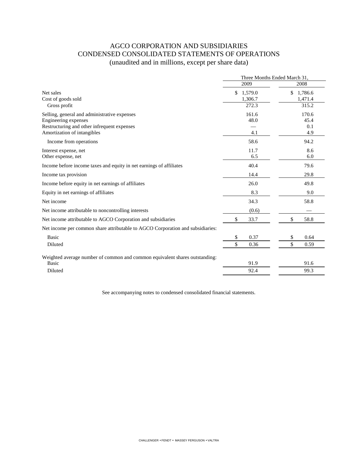# AGCO CORPORATION AND SUBSIDIARIES CONDENSED CONSOLIDATED STATEMENTS OF OPERATIONS (unaudited and in millions, except per share data)

|                                                                                | Three Months Ended March 31, |               |
|--------------------------------------------------------------------------------|------------------------------|---------------|
|                                                                                | 2009                         | 2008          |
| Net sales                                                                      | \$<br>1,579.0                | \$<br>1,786.6 |
| Cost of goods sold                                                             | 1,306.7                      | 1,471.4       |
| Gross profit                                                                   | 272.3                        | 315.2         |
| Selling, general and administrative expenses                                   | 161.6                        | 170.6         |
| Engineering expenses                                                           | 48.0                         | 45.4          |
| Restructuring and other infrequent expenses                                    |                              | 0.1           |
| Amortization of intangibles                                                    | 4.1                          | 4.9           |
| Income from operations                                                         | 58.6                         | 94.2          |
| Interest expense, net                                                          | 11.7                         | 8.6           |
| Other expense, net                                                             | 6.5                          | 6.0           |
| Income before income taxes and equity in net earnings of affiliates            | 40.4                         | 79.6          |
| Income tax provision                                                           | 14.4                         | 29.8          |
| Income before equity in net earnings of affiliates                             | 26.0                         | 49.8          |
| Equity in net earnings of affiliates                                           | 8.3                          | 9.0           |
| Net income                                                                     | 34.3                         | 58.8          |
| Net income attributable to noncontrolling interests                            | (0.6)                        |               |
| Net income attributable to AGCO Corporation and subsidiaries                   | \$<br>33.7                   | \$<br>58.8    |
| Net income per common share attributable to AGCO Corporation and subsidiaries: |                              |               |
| Basic                                                                          | 0.37<br>S                    | \$<br>0.64    |
| Diluted                                                                        | \$<br>0.36                   | \$<br>0.59    |
| Weighted average number of common and common equivalent shares outstanding:    |                              |               |
| Basic                                                                          | 91.9                         | 91.6          |
| Diluted                                                                        | 92.4                         | 99.3          |
|                                                                                |                              |               |

See accompanying notes to condensed consolidated financial statements.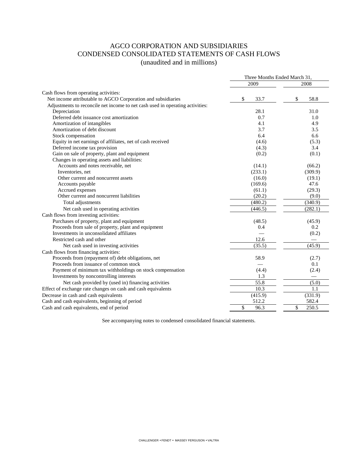### AGCO CORPORATION AND SUBSIDIARIES CONDENSED CONSOLIDATED STATEMENTS OF CASH FLOWS (unaudited and in millions)

|                                                                               | Three Months Ended March 31, |             |
|-------------------------------------------------------------------------------|------------------------------|-------------|
|                                                                               | 2009                         | 2008        |
| Cash flows from operating activities:                                         |                              |             |
| Net income attributable to AGCO Corporation and subsidiaries                  | \$<br>33.7                   | \$<br>58.8  |
| Adjustments to reconcile net income to net cash used in operating activities: |                              |             |
| Depreciation                                                                  | 28.1                         | 31.0        |
| Deferred debt issuance cost amortization                                      | 0.7                          | 1.0         |
| Amortization of intangibles                                                   | 4.1                          | 4.9         |
| Amortization of debt discount                                                 | 3.7                          | 3.5         |
| Stock compensation                                                            | 6.4                          | 6.6         |
| Equity in net earnings of affiliates, net of cash received                    | (4.6)                        | (5.3)       |
| Deferred income tax provision                                                 | (4.3)                        | 3.4         |
| Gain on sale of property, plant and equipment                                 | (0.2)                        | (0.1)       |
| Changes in operating assets and liabilities:                                  |                              |             |
| Accounts and notes receivable, net                                            | (14.1)                       | (66.2)      |
| Inventories, net                                                              | (233.1)                      | (309.9)     |
| Other current and noncurrent assets                                           | (16.0)                       | (19.1)      |
| Accounts payable                                                              | (169.6)                      | 47.6        |
| Accrued expenses                                                              | (61.1)                       | (29.3)      |
| Other current and noncurrent liabilities                                      | (20.2)                       | (9.0)       |
| Total adjustments                                                             | (480.2)                      | (340.9)     |
| Net cash used in operating activities                                         | (446.5)                      | (282.1)     |
| Cash flows from investing activities:                                         |                              |             |
| Purchases of property, plant and equipment                                    | (48.5)                       | (45.9)      |
| Proceeds from sale of property, plant and equipment                           | 0.4                          | 0.2         |
| Investments in unconsolidated affiliates                                      |                              | (0.2)       |
| Restricted cash and other                                                     | 12.6                         |             |
| Net cash used in investing activities                                         | (35.5)                       | (45.9)      |
| Cash flows from financing activities:                                         |                              |             |
| Proceeds from (repayment of) debt obligations, net                            | 58.9                         | (2.7)       |
| Proceeds from issuance of common stock                                        |                              | 0.1         |
| Payment of minimum tax withholdings on stock compensation                     | (4.4)                        | (2.4)       |
| Investments by noncontrolling interests                                       | 1.3                          |             |
| Net cash provided by (used in) financing activities                           | 55.8                         | (5.0)       |
| Effect of exchange rate changes on cash and cash equivalents                  | 10.3                         | 1.1         |
| Decrease in cash and cash equivalents                                         | (415.9)                      | (331.9)     |
| Cash and cash equivalents, beginning of period                                | 512.2                        | 582.4       |
| Cash and cash equivalents, end of period                                      | \$<br>96.3                   | \$<br>250.5 |

See accompanying notes to condensed consolidated financial statements.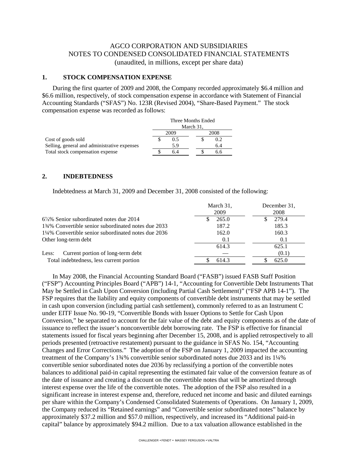### AGCO CORPORATION AND SUBSIDIARIES NOTES TO CONDENSED CONSOLIDATED FINANCIAL STATEMENTS (unaudited, in millions, except per share data)

### **1. STOCK COMPENSATION EXPENSE**

During the first quarter of 2009 and 2008, the Company recorded approximately \$6.4 million and \$6.6 million, respectively, of stock compensation expense in accordance with Statement of Financial Accounting Standards ("SFAS") No. 123R (Revised 2004), "Share-Based Payment." The stock compensation expense was recorded as follows:

|                                              | Three Months Ended |      |  |      |
|----------------------------------------------|--------------------|------|--|------|
|                                              | March 31,          |      |  |      |
|                                              |                    | 2009 |  | 2008 |
| Cost of goods sold                           |                    | 0.5  |  | 0.2  |
| Selling, general and administrative expenses |                    | 5.9  |  | 6.4  |
| Total stock compensation expense             |                    | 6.4  |  | ნ.ნ  |

#### **2. INDEBTEDNESS**

Indebtedness at March 31, 2009 and December 31, 2008 consisted of the following:

|                                                     | March 31,<br>2009 | December 31,<br>2008 |
|-----------------------------------------------------|-------------------|----------------------|
| $6\frac{7}{8}\%$ Senior subordinated notes due 2014 | 265.0             | 279.4                |
| 134% Convertible senior subordinated notes due 2033 | 187.2             | 185.3                |
| 1¼% Convertible senior subordinated notes due 2036  | 162.0             | 160.3                |
| Other long-term debt                                | 0.1               | 0.1                  |
|                                                     | 614.3             | 625.1                |
| Current portion of long-term debt<br>Less:          |                   | (0.1)                |
| Total indebtedness, less current portion            | 614.3             | 625.0                |

In May 2008, the Financial Accounting Standard Board ("FASB") issued FASB Staff Position ("FSP") Accounting Principles Board ("APB") 14-1, "Accounting for Convertible Debt Instruments That May be Settled in Cash Upon Conversion (including Partial Cash Settlement)" ("FSP APB 14-1"). The FSP requires that the liability and equity components of convertible debt instruments that may be settled in cash upon conversion (including partial cash settlement), commonly referred to as an Instrument C under EITF Issue No. 90-19, "Convertible Bonds with Issuer Options to Settle for Cash Upon Conversion," be separated to account for the fair value of the debt and equity components as of the date of issuance to reflect the issuer's nonconvertible debt borrowing rate. The FSP is effective for financial statements issued for fiscal years beginning after December 15, 2008, and is applied retrospectively to all periods presented (retroactive restatement) pursuant to the guidance in SFAS No. 154, "Accounting Changes and Error Corrections." The adoption of the FSP on January 1, 2009 impacted the accounting treatment of the Company's 1¾% convertible senior subordinated notes due 2033 and its 1¼% convertible senior subordinated notes due 2036 by reclassifying a portion of the convertible notes balances to additional paid-in capital representing the estimated fair value of the conversion feature as of the date of issuance and creating a discount on the convertible notes that will be amortized through interest expense over the life of the convertible notes. The adoption of the FSP also resulted in a significant increase in interest expense and, therefore, reduced net income and basic and diluted earnings per share within the Company's Condensed Consolidated Statements of Operations. On January 1, 2009, the Company reduced its "Retained earnings" and "Convertible senior subordinated notes" balance by approximately \$37.2 million and \$57.0 million, respectively, and increased its "Additional paid-in capital" balance by approximately \$94.2 million. Due to a tax valuation allowance established in the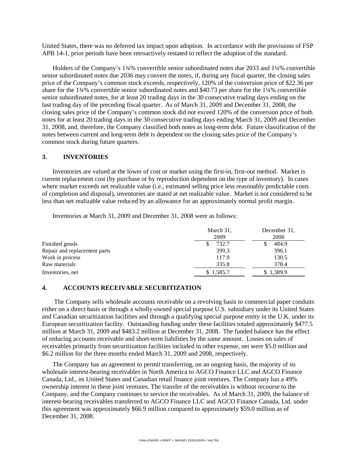United States, there was no deferred tax impact upon adoption. In accordance with the provisions of FSP APB 14-1, prior periods have been retroactively restated to reflect the adoption of the standard.

Holders of the Company's 1¾% convertible senior subordinated notes due 2033 and 1¼% convertible senior subordinated notes due 2036 may convert the notes, if, during any fiscal quarter, the closing sales price of the Company's common stock exceeds, respectively, 120% of the conversion price of \$22.36 per share for the 1¾% convertible senior subordinated notes and \$40.73 per share for the 1¼% convertible senior subordinated notes, for at least 20 trading days in the 30 consecutive trading days ending on the last trading day of the preceding fiscal quarter. As of March 31, 2009 and December 31, 2008, the closing sales price of the Company's common stock did not exceed 120% of the conversion price of both notes for at least 20 trading days in the 30 consecutive trading days ending March 31, 2009 and December 31, 2008, and, therefore, the Company classified both notes as long-term debt. Future classification of the notes between current and long-term debt is dependent on the closing sales price of the Company's common stock during future quarters.

### **3. INVENTORIES**

Inventories are valued at the lower of cost or market using the first-in, first-out method. Market is current replacement cost (by purchase or by reproduction dependent on the type of inventory). In cases where market exceeds net realizable value (i.e., estimated selling price less reasonably predictable costs of completion and disposal), inventories are stated at net realizable value. Market is not considered to be less than net realizable value reduced by an allowance for an approximately normal profit margin.

Inventories at March 31, 2009 and December 31, 2008 were as follows:

|                              | March 31,<br>2009 | December 31.<br>2008 |
|------------------------------|-------------------|----------------------|
| Finished goods               | 732.7             | 484.9                |
| Repair and replacement parts | 399.3             | 396.1                |
| Work in process              | 117.9             | 130.5                |
| Raw materials                | 335.8             | 378.4                |
| Inventories, net             | \$1,585.7         | \$1,389.9            |

### **4. ACCOUNTS RECEIVABLE SECURITIZATION**

The Company sells wholesale accounts receivable on a revolving basis to commercial paper conduits either on a direct basis or through a wholly-owned special purpose U.S. subsidiary under its United States and Canadian securitization facilities and through a qualifying special purpose entity in the U.K. under its European securitization facility. Outstanding funding under these facilities totaled approximately \$477.5 million at March 31, 2009 and \$483.2 million at December 31, 2008. The funded balance has the effect of reducing accounts receivable and short-term liabilities by the same amount. Losses on sales of receivables primarily from securitization facilities included in other expense, net were \$5.0 million and \$6.2 million for the three months ended March 31, 2009 and 2008, respectively.

The Company has an agreement to permit transferring, on an ongoing basis, the majority of its wholesale interest-bearing receivables in North America to AGCO Finance LLC and AGCO Finance Canada, Ltd., its United States and Canadian retail finance joint ventures. The Company has a 49% ownership interest in these joint ventures. The transfer of the receivables is without recourse to the Company, and the Company continues to service the receivables. As of March 31, 2009, the balance of interest-bearing receivables transferred to AGCO Finance LLC and AGCO Finance Canada, Ltd. under this agreement was approximately \$66.9 million compared to approximately \$59.0 million as of December 31, 2008.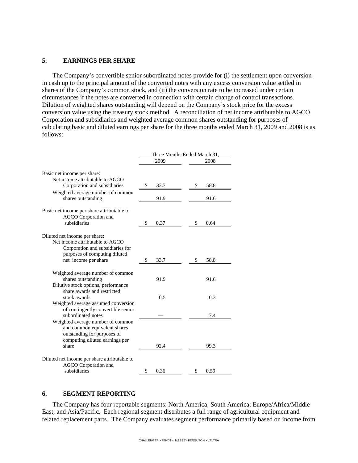#### **5. EARNINGS PER SHARE**

The Company's convertible senior subordinated notes provide for (i) the settlement upon conversion in cash up to the principal amount of the converted notes with any excess conversion value settled in shares of the Company's common stock, and (ii) the conversion rate to be increased under certain circumstances if the notes are converted in connection with certain change of control transactions. Dilution of weighted shares outstanding will depend on the Company's stock price for the excess conversion value using the treasury stock method. A reconciliation of net income attributable to AGCO Corporation and subsidiaries and weighted average common shares outstanding for purposes of calculating basic and diluted earnings per share for the three months ended March 31, 2009 and 2008 is as follows:

|                                                                                                                                                               | Three Months Ended March 31, |            |  |
|---------------------------------------------------------------------------------------------------------------------------------------------------------------|------------------------------|------------|--|
|                                                                                                                                                               | 2009                         | 2008       |  |
| Basic net income per share:                                                                                                                                   |                              |            |  |
| Net income attributable to AGCO<br>Corporation and subsidiaries                                                                                               | \$<br>33.7                   | \$<br>58.8 |  |
| Weighted average number of common<br>shares outstanding                                                                                                       | 91.9                         | 91.6       |  |
| Basic net income per share attributable to<br>AGCO Corporation and<br>subsidiaries                                                                            | 0.37<br>\$                   | \$<br>0.64 |  |
| Diluted net income per share:<br>Net income attributable to AGCO<br>Corporation and subsidiaries for<br>purposes of computing diluted<br>net income per share | 33.7<br>\$                   | 58.8<br>\$ |  |
|                                                                                                                                                               |                              |            |  |
| Weighted average number of common<br>shares outstanding<br>Dilutive stock options, performance                                                                | 91.9                         | 91.6       |  |
| share awards and restricted<br>stock awards                                                                                                                   | 0.5                          | 0.3        |  |
| Weighted average assumed conversion<br>of contingently convertible senior<br>subordinated notes                                                               |                              | 7.4        |  |
| Weighted average number of common<br>and common equivalent shares<br>outstanding for purposes of<br>computing diluted earnings per<br>share                   | 92.4                         | 99.3       |  |
| Diluted net income per share attributable to<br><b>AGCO</b> Corporation and<br>subsidiaries                                                                   | \$<br>0.36                   | \$<br>0.59 |  |

#### **6. SEGMENT REPORTING**

The Company has four reportable segments: North America; South America; Europe/Africa/Middle East; and Asia/Pacific. Each regional segment distributes a full range of agricultural equipment and related replacement parts. The Company evaluates segment performance primarily based on income from